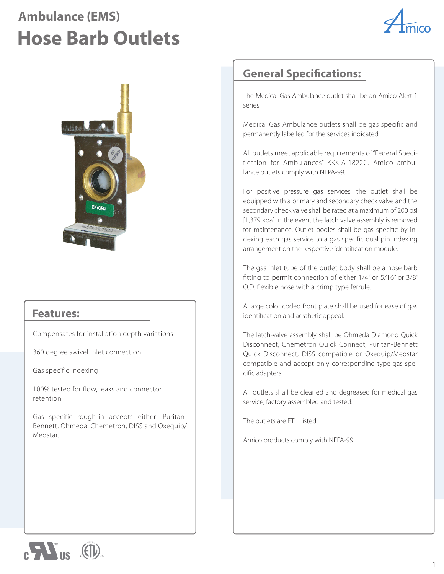## **Ambulance (EMS) Hose Barb Outlets**





## **Features:**

Compensates for installation depth variations

360 degree swivel inlet connection

Gas specific indexing

100% tested for flow, leaks and connector retention

Gas specific rough-in accepts either: Puritan-Bennett, Ohmeda, Chemetron, DISS and Oxequip/ Medstar.

## **General Specifications:**

The Medical Gas Ambulance outlet shall be an Amico Alert-1 series.

Medical Gas Ambulance outlets shall be gas specific and permanently labelled for the services indicated.

All outlets meet applicable requirements of "Federal Specification for Ambulances" KKK-A-1822C. Amico ambulance outlets comply with NFPA-99.

For positive pressure gas services, the outlet shall be equipped with a primary and secondary check valve and the secondary check valve shall be rated at a maximum of 200 psi [1,379 kpa] in the event the latch valve assembly is removed for maintenance. Outlet bodies shall be gas specific by indexing each gas service to a gas specific dual pin indexing arrangement on the respective identification module.

The gas inlet tube of the outlet body shall be a hose barb fitting to permit connection of either 1/4" or 5/16" or 3/8" O.D. flexible hose with a crimp type ferrule.

A large color coded front plate shall be used for ease of gas identification and aesthetic appeal.

The latch-valve assembly shall be Ohmeda Diamond Quick Disconnect, Chemetron Quick Connect, Puritan-Bennett Quick Disconnect, DISS compatible or Oxequip/Medstar compatible and accept only corresponding type gas specific adapters.

All outlets shall be cleaned and degreased for medical gas service, factory assembled and tested.

The outlets are ETL Listed.

Amico products comply with NFPA-99.